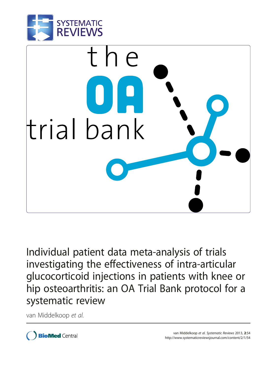



Individual patient data meta-analysis of trials investigating the effectiveness of intra-articular glucocorticoid injections in patients with knee or hip osteoarthritis: an OA Trial Bank protocol for a systematic review

van Middelkoop et al.

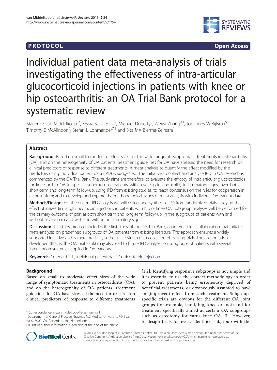## **PROTOCOL CONSUMING ACCESS**



# Individual patient data meta-analysis of trials investigating the effectiveness of intra-articular glucocorticoid injections in patients with knee or hip osteoarthritis: an OA Trial Bank protocol for a systematic review

Marienke van Middelkoop<sup>1\*</sup>, Krysia S Dziedzic<sup>2</sup>, Michael Doherty<sup>3</sup>, Weiya Zhang<sup>3,4</sup>, Johannes W Bijlsma<sup>5</sup> , Timothy E McAlindon<sup>6</sup>, Stefan L Lohmander<sup>7,8</sup> and Sita MA Bierma-Zeinstra<sup>1</sup>

## Abstract

Background: Based on small to moderate effect sizes for the wide range of symptomatic treatments in osteoarthritis (OA), and on the heterogeneity of OA patients, treatment guidelines for OA have stressed the need for research on clinical predictors of response to different treatments. A meta-analysis to quantify the effect modified by the predictors using individual patient data (IPD) is suggested. The initiative to collect and analyze IPD in OA research is commenced by the OA Trial Bank. The study aims are therefore: to evaluate the efficacy of intra-articular glucocorticoids for knee or hip OA in specific subgroups of patients with severe pain and (mild) inflammatory signs, over both short-term and long-term follow-up, using IPD from existing studies; to reach consensus on the rules for cooperation in a consortium; and to develop and explore the methodological issues of meta-analysis with individual OA patient data.

Methods/Design: For the current IPD analysis we will collect and synthesize IPD from randomized trials studying the effect of intra-articular glucocorticoid injections in patients with hip or knee OA. Subgroup analyses will be performed for the primary outcome of pain at both short-term and long-term follow-up, in the subgroups of patients with and without severe pain and with and without inflammatory signs.

Discussion: This study protocol includes the first study of the OA Trial Bank, an international collaboration that initiates meta-analyses on predefined subgroups of OA patients from existing literature. This approach ensures a widely supported initiative and is therefore likely to be successful in data collection of existing trials. The collaboration developed (that is, the OA Trial Bank) may also lead to future IPD analyses on subgroups of patients with several intervention strategies applied in OA patients.

Keywords: Osteoarthritis, Individual patient data, Corticosteroid injection

## Background

Based on small to moderate effect sizes of the wide range of symptomatic treatments in osteoarthritis (OA), and on the heterogeneity of OA patients, treatment guidelines for OA have stressed the need for research on clinical predictors of response to different treatments

Full list of author information is available at the end of the article





© 2013 van Middelkoop et al.; licensee BioMed Central Ltd. This is an Open Access article distributed under the terms of the Creative Commons Attribution License (http://creativecommons.org/licenses/by/2.0), which permits unrestricted use, distribution, and reproduction in any medium, provided the original work is properly cited.

<sup>\*</sup> Correspondence: m.vanmiddelkoop@erasmusmc.nl <sup>1</sup>

<sup>&</sup>lt;sup>1</sup>Department of General Practice, Erasmus MC Medical University, PO Box 2040, 3000, CA, Rotterdam, the Netherlands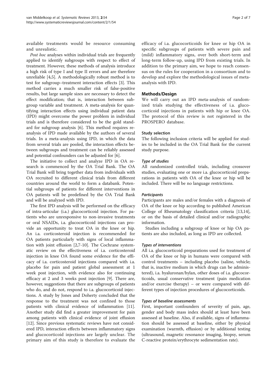available treatments would be resource consuming and unrealistic.

Post hoc analyses within individual trials are frequently applied to identify subgroups with respect to effect of treatment. However, these methods of analysis introduce a high risk of type I and type II errors and are therefore unreliable [[4,5\]](#page-7-0). A methodologically robust method is to test for subgroup–treatment interaction effects [[3\]](#page-7-0). This method carries a much smaller risk of false-positive results, but large sample sizes are necessary to detect the effect modification; that is, interaction between subgroup variable and treatment. A meta-analysis for quantifying interaction effects using individual patient data (IPD) might overcome the power problem in individual trials and is therefore considered to be the gold standard for subgroup analysis [\[6](#page-7-0)]. This method requires reanalysis of IPD made available by the authors of several trials. In a meta-analysis using IPD, in which the data from several trials are pooled, the interaction effects between subgroups and treatment can be reliably assessed and potential confounders can be adjusted for [\[6](#page-7-0)].

The initiative to collect and analyze IPD in OA research is commenced by the OA Trial Bank. The OA Trial Bank will bring together data from individuals with OA recruited to different clinical trials from different countries around the world to form a databank. Potential subgroups of patients for different interventions in OA patients will be predefined by the OA Trial Bank and will be analyzed with IPD.

The first IPD analysis will be performed on the efficacy of intra-articular (i.a.) glucocorticoid injection. For patients who are unresponsive to non-invasive treatments or oral NSAIDs, i.a. glucocorticoid injections can provide an opportunity to treat OA in the knee or hip. An i.a. corticosteroid injection is recommended for OA patients particularly with signs of local inflammation with joint effusion [\[2,7](#page-7-0)-[10](#page-7-0)]. The Cochrane systematic review on the effectiveness of i.a. corticosteroid injection in knee OA found some evidence for the efficacy of i.a. corticosteroid injections compared with i.a. placebo for pain and patient global assessment at 1 week post injection, with evidence also for continuing efficacy at 2 and 3 weeks post injection [\[9](#page-7-0)]. There are, however, suggestions that there are subgroups of patients who do, and do not, respond to i.a. glucocorticoid injections. A study by Jones and Doherty concluded that the response to the treatment was not confined to those patients with clinical evidence of inflammation [\[11](#page-7-0)]. Another study did find a greater improvement for pain among patients with clinical evidence of joint effusion [[12\]](#page-7-0). Since previous systematic reviews have not considered IPD, interaction effects between inflammatory signs and glucocorticoid injections are largely unclear. The primary aim of this study is therefore to evaluate the efficacy of i.a. glucocorticoids for knee or hip OA in specific subgroups of patients with severe pain and (mild) inflammatory signs, over both short-term and long-term follow-up, using IPD from existing trials. In addition to the primary aim, we hope to reach consensus on the rules for cooperation in a consortium and to develop and explore the methodological issues of metaanalysis with IPD.

## Methods/Design

We will carry out an IPD meta-analysis of randomized trials studying the effectiveness of i.a. glucocorticoid injections in patients with hip or knee OA. The protocol of this review is not registered in the PROSPERO database.

## Study selection

The following inclusion criteria will be applied for studies to be included in the OA Trial Bank for the current study purpose.

## Type of studies

All randomized controlled trials, including crossover studies, evaluating one or more i.a. glucocorticoid preparations in patients with OA of the knee or hip will be included. There will be no language restrictions.

## **Participants**

Participants are males and/or females with a diagnosis of OA of the knee or hip according to published American College of Rheumatology classification criteria [\[13,14](#page-7-0)], or on the basis of detailed clinical and/or radiographic information.

Studies including a subgroup of knee or hip OA patients are also included, as long as IPD are collected.

## Types of interventions

All i.a. glucocorticoid preparations used for treatment of OA of the knee or hip in humans were compared with control treatments – including placebo (saline, vehicle; that is, inactive medium in which drugs can be administered), i.a. hyaluronan/hylan, other doses of i.a. glucocorticoids, usual conservative treatment (pain medication and/or exercise therapy) – or were compared with different types of injection procedures of glucocorticoids.

## Types of baseline assessments

First, important confounders of severity of pain, age, gender and body mass index should at least have been assessed at baseline. Also, if available, signs of inflammation should be assessed at baseline, either by physical examination (warmth, effusion) or by additional testing (ultrasound, magnetic resonance imaging, biopsy, serum C-reactive protein/erythrocyte sedimentation rate).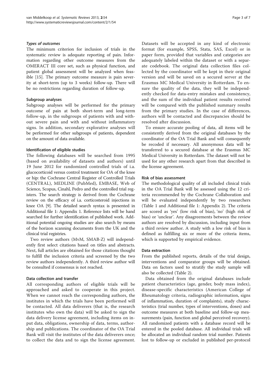## Types of outcomes

The minimum criterion for inclusion of trials in the systematic review is adequate reporting of pain. Information regarding other outcome measures from the OMERACT III core set, such as physical function, and patient global assessment will be analyzed when feasible [[15\]](#page-7-0). The primary outcome measure is pain severity at short-term (up to 3 weeks) follow-up. There will be no restrictions regarding duration of follow-up.

## Subgroup analyses

Subgroup analyses will be performed for the primary outcome of pain at both short-term and long-term follow-up, in the subgroups of patients with and without severe pain and with and without inflammatory signs. In addition, secondary explorative analyses will be performed for other subgroups of patients, dependent on the amount of data available.

## Identification of eligible studies

The following databases will be searched from 1995 (based on availability of datasets and authors) until 19 June 2012 for randomized controlled trials of i.a. glucocorticoid versus control treatment for OA of the knee or hip: the Cochrane Central Register of Controlled Trials (CENTRAL), MEDLINE (PubMed), EMBASE, Web of Science, Scopus, Cinahl, Pedro and the controlled trial registers. The search strategy is derived from the Cochrane review on the efficacy of i.a. corticosteroid injections in knee OA [\[9](#page-7-0)]. The detailed search syntax is presented in Additional file [1:](#page-6-0) Appendix 1. Reference lists will be hand searched for further identification of published work. Additional potential ongoing studies are also search by means of the horizon scanning documents from the UK and the clinical trial registries.

Two review authors (MvM, SMAB-Z) will independently first select citations based on titles and abstracts. Next, full articles are obtained for those citations thought to fulfill the inclusion criteria and screened by the two review authors independently. A third review author will be consulted if consensus is not reached.

## Data collection and transfer

All corresponding authors of eligible trials will be approached and asked to cooperate in this project. When we cannot reach the corresponding authors, the institutes in which the trials have been performed will be contacted. All data deliverers (that is, the research institutes who own the data) will be asked to sign the data delivery license agreement, including items on input data, obligations, ownership of data, terms, authorship and publications. The coordinator of the OA Trial Bank will visit the institutes of the data deliverers once; to collect the data and to sign the license agreement. Datasets will be accepted in any kind of electronic format (for example, SPSS, Stata, SAS, Excel) or in paper form, provided that variables and categories are adequately labeled within the dataset or with a separate codebook. The original data collection files collected by the coordinator will be kept in their original version and will be saved on a secured server at the Erasmus MC Medical University in Rotterdam. To ensure the quality of the data, they will be independently checked for data-entry mistakes and consistency, and the sum of the individual patient results received will be compared with the published summary results from the primary studies. In the case of differences, authors will be contacted and discrepancies should be resolved after discussion.

To ensure accurate pooling of data, all items will be consistently derived from the original databases by the coordinator of the OA Trial Bank and will consequently be recoded if necessary. All anonymous data will be transferred to a secured database at the Erasmus MC Medical University in Rotterdam. The dataset will not be used for any other research apart from that described in the license agreement.

## Risk of bias assessment

The methodological quality of all included clinical trials in the OA Trial Bank will be assessed using the 12 criteria recommended by the Cochrane Collaboration and will be evaluated independently by two researchers (Table [1](#page-4-0) and Additional file [1:](#page-6-0) Appendix 2). The criteria are scored as 'yes' (low risk of bias), 'no' (high risk of bias) or 'unclear'. Any disagreements between the review authors are resolved by discussion, including input from a third review author. A study with a low risk of bias is defined as fulfilling six or more of the criteria items, which is supported by empirical evidence.

## Data extraction

From the published reports, details of the trial design, interventions and comparator groups will be obtained. Data on factors used to stratify the study sample will also be collected (Table [2\)](#page-4-0).

Data obtained from the original databases include patient characteristics (age, gender, body mass index), disease-specific characteristics (American College of Rheumatology criteria, radiographic information, signs of inflammation, duration of complaints), study characteristics (trial number, types of interventions, doses) and outcome measures at both baseline and follow-up measurements (pain, function and global perceived recovery). All randomized patients with a database record will be entered in the pooled database. All individual trials will be allocated an individual random trial number. Patients lost to follow-up or excluded in published per-protocol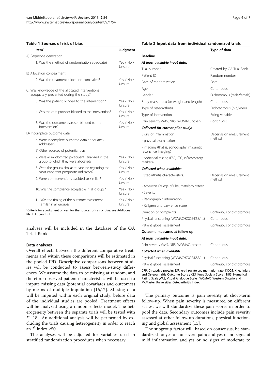## <span id="page-4-0"></span>Table 1 Sources of risk of bias

| ltem <sup>a</sup>                                                                             | Judgment             |
|-----------------------------------------------------------------------------------------------|----------------------|
| A) Sequence generation                                                                        |                      |
| 1. Was the method of randomization adequate?                                                  | Yes / No /<br>Unsure |
| B) Allocation concealment                                                                     |                      |
| 2. Was the treatment allocation concealed?                                                    | Yes / No /<br>Unsure |
| C) Was knowledge of the allocated interventions<br>adequately prevented during the study?     |                      |
| 3. Was the patient blinded to the intervention?                                               | Yes / No /<br>Unsure |
| 4. Was the care provider blinded to the intervention?                                         | Yes / No /<br>Unsure |
| 5. Was the outcome assessor blinded to the<br>intervention?                                   | Yes / No /<br>Unsure |
| D) Incomplete outcome data                                                                    |                      |
| 6. Were incomplete outcome data adequately<br>addressed?                                      |                      |
| E) Other sources of potential bias                                                            |                      |
| 7. Were all randomized participants analyzed in the<br>group to which they were allocated?    | Yes / No /<br>Unsure |
| 8. Were the groups similar at baseline regarding the<br>most important prognostic indicators? | Yes / No /<br>Unsure |
| 9. Were co-interventions avoided or similar?                                                  | Yes / No /<br>Unsure |
| 10. Was the compliance acceptable in all groups?                                              | Yes / No /<br>Unsure |
| 11. Was the timing of the outcome assessment<br>similar in all groups?                        | Yes / No /<br>Unsure |

<sup>a</sup>Criteria for a judgment of 'yes' for the sources of risk of bias: see Additional file [1](#page-6-0): Appendix 2.

analyses will be included in the database of the OA Trial Bank.

#### Data analyses

Overall effects between the different comparative treatments and within these comparisons will be estimated in the pooled IPD. Descriptive comparisons between studies will be conducted to assess between-study differences. We assume the data to be missing at random, and therefore observed patient characteristics will be used to impute missing data (potential covariates and outcomes) by means of multiple imputation [\[16,17](#page-7-0)]. Missing data will be imputed within each original study, before data of the individual studies are pooled. Treatment effects will be analyzed using a random-effects model. The heterogeneity between the separate trials will be tested with  $I^2$  [[18](#page-7-0)]. An additional analysis will be performed by excluding the trials causing heterogeneity in order to reach an  $I^2$  index <50.

The analyses will be adjusted for variables used in stratified randomization procedures when necessary.

## Table 2 Input data from individual randomized trials

|                                                                | Type of data                     |
|----------------------------------------------------------------|----------------------------------|
| <b>Baseline</b>                                                |                                  |
| At least available input data:                                 |                                  |
| Trial number                                                   | Created by OA Trial Bank         |
| Patient ID                                                     | Random number                    |
| Date of randomization                                          | Date                             |
| Age                                                            | Continuous                       |
| Gender                                                         | Dichotomous (male/female)        |
| Body mass index (or weight and length)                         | Continuous                       |
| Type of osteoarthritis                                         | Dichotomous (hip/knee)           |
| Type of intervention                                           | String variable                  |
| Pain severity (VAS, NRS, WOMAC, other)                         | Continuous                       |
| Collected for current pilot study:                             |                                  |
| Signs of inflammation                                          | Depends on measurement           |
| - physical examination                                         | method                           |
| - imaging (that is, sonography, magnetic<br>resonance imaging) |                                  |
| - additional testing (ESR, CRP, inflammatory<br>markers)       |                                  |
| Collected when available:                                      |                                  |
| Osteoarthritis characteristics:                                | Depends on measurement<br>method |
| - American College of Rheumatology criteria                    |                                  |
| - Severity                                                     |                                  |
| - Radiographic information                                     |                                  |
| - Kellgren and Lawrence score                                  |                                  |
| Duration of complaints                                         | Continuous or dichotomous        |
| Physical functioning (WOMAC/KOOS/KSS/)                         | Continuous                       |
| Patient global assessment                                      | Continuous or dichotomous        |
| Outcome measures at follow-up                                  |                                  |
| At least available input data:                                 |                                  |
| Pain severity (VAS, NRS, WOMAC, other)                         | Continuous                       |
| Collected when available:                                      |                                  |
| Physical functioning (WOMAC/KOOS/KSS/)                         | Continuous                       |
| Patient global assessment                                      | Continuous or dichotomous        |

CRP, C-reactive protein; ESR, erythrocyte sedimentation rate; KOOS, Knee injury and Osteoarthritis Outcome Score ; KSS, Knee Society Score ; NRS, Numerical Rating Scale ;VAS, Visual Analogue Scale ; WOMAC, Western Ontario and McMaster Universities Osteoarthritis Index.

The primary outcome is pain severity at short-term follow-up. When pain severity is measured on different scales, we will standardize these pain scores in order to pool the data. Secondary outcomes include pain severity assessed at other follow-up durations, physical functioning and global assessment [\[15\]](#page-7-0).

The subgroup factor will, based on consensus, be standardized to: yes or no severe pain; and yes or no signs of mild inflammation and yes or no signs of moderate to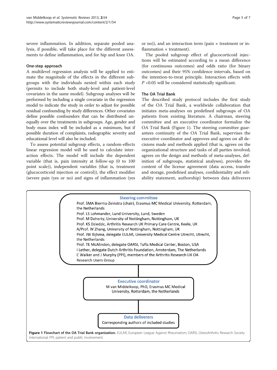severe inflammation. In addition, separate pooled analysis, if possible, will take place for the different assessments to define inflammation, and for hip and knee OA.

## One-step approach

A multilevel regression analysis will be applied to estimate the magnitude of the effects in the different subgroups with the individuals nested within each study (permits to include both study-level and patient-level covariates in the same model). Subgroup analyses will be performed by including a single covariate in the regression model to indicate the study in order to adjust for possible residual confounding by study differences. Other covariates define possible confounders that can be distributed unequally over the treatments in subgroups. Age, gender and body mass index will be included as a minimum, but if possible duration of complaints, radiographic severity and educational level will also be included.

To assess potential subgroup effects, a random-effects linear regression model will be used to calculate interaction effects. The model will include the dependent variable (that is, pain intensity at follow-up (0 to 100 point scale)), independent variables (that is, treatment (glucocorticoid injection or control)), the effect modifier (severe pain (yes or no) and signs of inflammation (yes

or no)), and an interaction term (pain  $\times$  treatment or inflammation  $\times$  treatment).

The pooled subgroup effect of glucocorticoid injections will be estimated according to a mean difference (for continuous outcomes) and odds ratio (for binary outcomes) and their 95% confidence intervals, based on the intention-to-treat principle. Interaction effects with  $P$  <0.05 will be considered statistically significant.

## The OA Trial Bank

The described study protocol includes the first study of the OA Trial Bank, a worldwide collaboration that initiates meta-analyses on predefined subgroups of OA patients from existing literature. A chairman, steering committee and an executive coordinator formalize the OA Trial Bank (Figure 1). The steering committee guarantees continuity of the OA Trial Bank, supervises the executive coordinator and approves and agrees on all decisions made and methods applied (that is, agrees on the organizational structure and tasks of all parties involved; agrees on the design and methods of meta-analyses, definition of subgroups, statistical analyses), provides the content of the license agreement (data access, transfer and storage, predefined analyses, confidentiality and reliability statement, authorship) between data deliverers

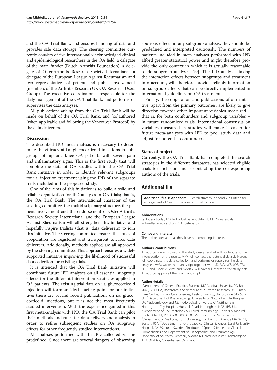<span id="page-6-0"></span>and the OA Trial Bank, and ensures handling of data and provides safe data storage. The steering committee currently consists of five internationally acknowledged clinical and epidemiological researchers in the OA field: a delegate of the main funder (Dutch Arthritis Foundation), a delegate of OsteoArthritis Research Society International, a delegate of the European League Against Rheumatism and two representatives of patient and public involvement (members of the Arthritis Research UK OA Research Users Group). The executive coordinator is responsible for the daily management of the OA Trial Bank, and performs or supervises the data analyses.

All publications arising from the OA Trial Bank will be made on behalf of the OA Trial Bank, and (co)authored (when applicable and following the Vancouver Protocol) by the data deliverers.

## **Discussion**

The described IPD meta-analysis is necessary to determine the efficacy of i.a. glucocorticoid injections in subgroups of hip and knee OA patients with severe pain and inflammatory signs. This is the first study that will combine the data of OA studies within the OA Trial Bank initiative in order to identify relevant subgroups for i.a. injection treatment using the IPD of the separate trials included in the proposed study.

One of the aims of this initiative is to build a solid and reliable organization for IPD analyses in OA trials; that is, the OA Trial Bank. The international character of the steering committee, the multidisciplinary structure, the patient involvement and the endorsement of OsteoArthritis Research Society International and the European League Against Rheumatism will all strengthen this initiative and hopefully inspire trialists (that is, data deliverers) to join this initiative. The steering committee ensures that rules of cooperation are registered and transparent towards data deliverers. Additionally, methods applied are all approved by the steering committee. This approach ensures a widely supported initiative improving the likelihood of successful data collection for existing trials.

It is intended that the OA Trial Bank initiative will coordinate future IPD analyses on all essential subgroup effects for the different intervention strategies applied in OA patients. The existing trial data on i.a. glucocorticoid injection will form an ideal starting point for our initiative: there are several recent publications on i.a. glucocorticoid injections, but it is not the most frequently studied intervention. With the experience gained in this first meta-analysis with IPD, the OA Trial Bank can pilot their methods and rules for data delivery and analysis in order to refine subsequent studies on OA subgroup effects for other frequently studied interventions.

All analyses performed with the IPD collected will be predefined. Since there are several dangers of observing spurious effects in any subgroup analysis, they should be predefined and interpreted cautiously. The numbers of patients included in meta-analyses performed with IPD afford greater statistical power and might therefore provide the only context in which it is actually reasonable to do subgroup analyses [\[19](#page-7-0)]. The IPD analysis, taking the interaction effects between subgroups and treatment into account, will therefore provide reliably information on subgroup effects that can be directly implemented in international guidelines on OA treatments.

Finally, the cooperation and publications of our initiative, apart from the primary outcomes, are likely to give direction towards other important variables measured – that is, for both confounders and subgroup variables – in future randomized trials. International consensus on variables measured in studies will make it easier for future meta-analyses with IPD to pool study data and adjust for potential confounders.

## Status of project

Currently, the OA Trial Bank has completed the search strategies in the different databases, has selected eligible trials for inclusion and is contacting the corresponding authors of the trials.

## Additional file

[Additional file 1:](http://www.biomedcentral.com/content/supplementary/2046-4053-2-54-S1.docx) Appendix 1. Search strategy. Appendix 2. Criteria for a judgement of 'yes' for the sources of risk of bias.

#### Abbreviations

i.a: Intra-articular; IPD: Individual patient data; NSAID: Nonsteroidal anti-inflammatory drug; OA: Osteoarthritis.

#### Competing interests

The authors declare that they have no competing interests.

#### Authors' contributions

All authors were involved in the study design and all will contribute to the interpretation of the results. MvM will contact the potential data deliverers, will coordinate the data collection, and performs or supervises the data analyses. MvM wrote the manuscript together with KD, MD, WZ, JWB, TM, SLSL, and SMAB-Z. MvM and SMAB-Z will have full access to the study data. All authors approved the final manuscript.

#### Author details

<sup>1</sup>Department of General Practice, Erasmus MC Medical University, PO Box 2040, 3000, CA, Rotterdam, the Netherlands. <sup>2</sup> Arthritis Research UK Primary Care Centre, Primary Care Sciences, Keele University, Staffordshire ST5 5BG, UK. <sup>3</sup>Department of Rheumatology, University of Nottingham, Nottingham, UK. <sup>4</sup>Epidemiology and Methodological, University of Nottingham, Nottingham City Hospital, Hucknall Road, Nottingham NG5 1PB, UK. 5 Department of Rheumatology & Clinical Immunology, University Medical Center Utrecht, PO Box 85500, 3508, GA, Utrecht, the Netherlands. 6 Department of Medicine, Tufts University, 136 Harrison Avenue MA 02111, Boston, USA. <sup>7</sup>Department of Orthopaedics, Clinical Sciences, Lund University Hospital, 22185, Lund, Sweden. <sup>8</sup>Institute of Sports Science and Clinical Biomechanics and Department of Orthopaedics and Traumatology, University of Southern Denmark, Syddansk Universitet Øster Farimagsgade 5 A, 2, DK-1399, Copenhagen, Denmark.